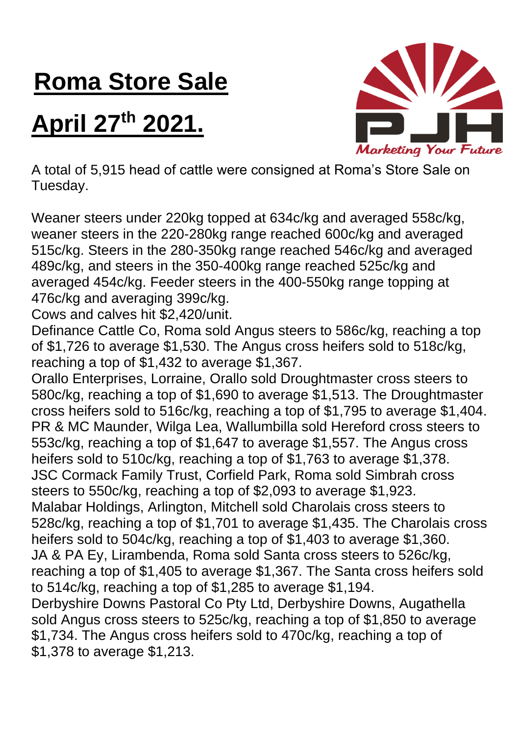## **Roma Store Sale**

## **April 27th 2021.**



A total of 5,915 head of cattle were consigned at Roma's Store Sale on Tuesday.

Weaner steers under 220kg topped at 634c/kg and averaged 558c/kg, weaner steers in the 220-280kg range reached 600c/kg and averaged 515c/kg. Steers in the 280-350kg range reached 546c/kg and averaged 489c/kg, and steers in the 350-400kg range reached 525c/kg and averaged 454c/kg. Feeder steers in the 400-550kg range topping at 476c/kg and averaging 399c/kg.

Cows and calves hit \$2,420/unit.

Definance Cattle Co, Roma sold Angus steers to 586c/kg, reaching a top of \$1,726 to average \$1,530. The Angus cross heifers sold to 518c/kg, reaching a top of \$1,432 to average \$1,367.

Orallo Enterprises, Lorraine, Orallo sold Droughtmaster cross steers to 580c/kg, reaching a top of \$1,690 to average \$1,513. The Droughtmaster cross heifers sold to 516c/kg, reaching a top of \$1,795 to average \$1,404. PR & MC Maunder, Wilga Lea, Wallumbilla sold Hereford cross steers to 553c/kg, reaching a top of \$1,647 to average \$1,557. The Angus cross heifers sold to 510c/kg, reaching a top of \$1,763 to average \$1,378. JSC Cormack Family Trust, Corfield Park, Roma sold Simbrah cross steers to 550c/kg, reaching a top of \$2,093 to average \$1,923. Malabar Holdings, Arlington, Mitchell sold Charolais cross steers to 528c/kg, reaching a top of \$1,701 to average \$1,435. The Charolais cross heifers sold to 504c/kg, reaching a top of \$1,403 to average \$1,360. JA & PA Ey, Lirambenda, Roma sold Santa cross steers to 526c/kg, reaching a top of \$1,405 to average \$1,367. The Santa cross heifers sold to 514c/kg, reaching a top of \$1,285 to average \$1,194. Derbyshire Downs Pastoral Co Pty Ltd, Derbyshire Downs, Augathella sold Angus cross steers to 525c/kg, reaching a top of \$1,850 to average \$1,734. The Angus cross heifers sold to 470c/kg, reaching a top of \$1,378 to average \$1,213.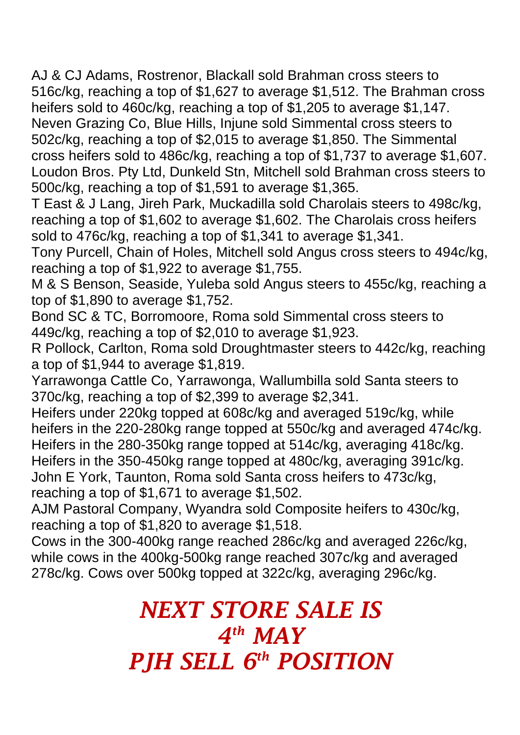AJ & CJ Adams, Rostrenor, Blackall sold Brahman cross steers to 516c/kg, reaching a top of \$1,627 to average \$1,512. The Brahman cross heifers sold to 460c/kg, reaching a top of \$1,205 to average \$1,147. Neven Grazing Co, Blue Hills, Injune sold Simmental cross steers to 502c/kg, reaching a top of \$2,015 to average \$1,850. The Simmental cross heifers sold to 486c/kg, reaching a top of \$1,737 to average \$1,607. Loudon Bros. Pty Ltd, Dunkeld Stn, Mitchell sold Brahman cross steers to 500c/kg, reaching a top of \$1,591 to average \$1,365.

T East & J Lang, Jireh Park, Muckadilla sold Charolais steers to 498c/kg, reaching a top of \$1,602 to average \$1,602. The Charolais cross heifers sold to 476c/kg, reaching a top of \$1,341 to average \$1,341.

Tony Purcell, Chain of Holes, Mitchell sold Angus cross steers to 494c/kg, reaching a top of \$1,922 to average \$1,755.

M & S Benson, Seaside, Yuleba sold Angus steers to 455c/kg, reaching a top of \$1,890 to average \$1,752.

Bond SC & TC, Borromoore, Roma sold Simmental cross steers to 449c/kg, reaching a top of \$2,010 to average \$1,923.

R Pollock, Carlton, Roma sold Droughtmaster steers to 442c/kg, reaching a top of \$1,944 to average \$1,819.

Yarrawonga Cattle Co, Yarrawonga, Wallumbilla sold Santa steers to 370c/kg, reaching a top of \$2,399 to average \$2,341.

Heifers under 220kg topped at 608c/kg and averaged 519c/kg, while heifers in the 220-280kg range topped at 550c/kg and averaged 474c/kg. Heifers in the 280-350kg range topped at 514c/kg, averaging 418c/kg. Heifers in the 350-450kg range topped at 480c/kg, averaging 391c/kg. John E York, Taunton, Roma sold Santa cross heifers to 473c/kg, reaching a top of \$1,671 to average \$1,502.

AJM Pastoral Company, Wyandra sold Composite heifers to 430c/kg, reaching a top of \$1,820 to average \$1,518.

Cows in the 300-400kg range reached 286c/kg and averaged 226c/kg, while cows in the 400kg-500kg range reached 307c/kg and averaged 278c/kg. Cows over 500kg topped at 322c/kg, averaging 296c/kg.

## *NEXT STORE SALE IS 4 th MAY PJH SELL 6 th POSITION*